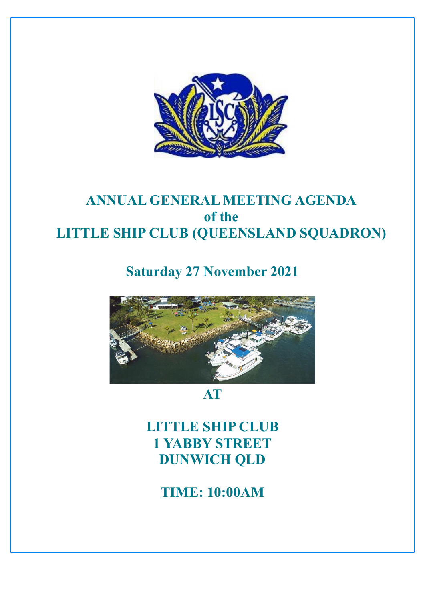

# **ANNUAL GENERAL MEETING AGENDA of the LITTLE SHIP CLUB (QUEENSLAND SQUADRON)**

**Saturday 27 November 2021**



**AT**

**LITTLE SHIP CLUB 1 YABBY STREET DUNWICH QLD**

**TIME: 10:00AM**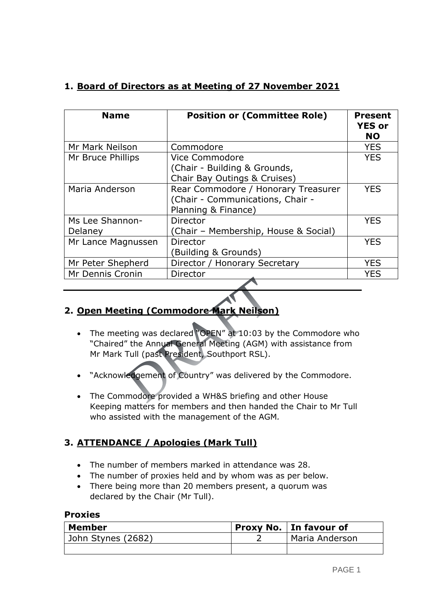# **1. Board of Directors as at Meeting of 27 November 2021**

| <b>Name</b>                | <b>Position or (Committee Role)</b>                                                            | <b>Present</b><br><b>YES or</b><br><b>NO</b> |
|----------------------------|------------------------------------------------------------------------------------------------|----------------------------------------------|
| Mr Mark Neilson            | Commodore                                                                                      | <b>YES</b>                                   |
| Mr Bruce Phillips          | Vice Commodore<br>(Chair - Building & Grounds,<br>Chair Bay Outings & Cruises)                 | <b>YES</b>                                   |
| Maria Anderson             | Rear Commodore / Honorary Treasurer<br>(Chair - Communications, Chair -<br>Planning & Finance) | <b>YES</b>                                   |
| Ms Lee Shannon-<br>Delaney | Director<br>(Chair - Membership, House & Social)                                               | <b>YES</b>                                   |
| Mr Lance Magnussen         | Director<br>Building & Grounds)                                                                | <b>YES</b>                                   |
| Mr Peter Shepherd          | Director / Honorary Secretary                                                                  | <b>YES</b>                                   |
| Mr Dennis Cronin           | Director                                                                                       | <b>YES</b>                                   |

# **2. Open Meeting (Commodore Mark Neilson)**

- The meeting was declared "OPEN" at 10:03 by the Commodore who "Chaired" the Annual General Meeting (AGM) with assistance from Mr Mark Tull (past President, Southport RSL).
- "Acknowledgement of Country" was delivered by the Commodore.
- The Commodore provided a WH&S briefing and other House Keeping matters for members and then handed the Chair to Mr Tull who assisted with the management of the AGM*.*

# **3. ATTENDANCE / Apologies (Mark Tull)**

- The number of members marked in attendance was 28.
- The number of proxies held and by whom was as per below.
- There being more than 20 members present, a quorum was declared by the Chair (Mr Tull).

#### **Proxies**

| <b>Member</b>      | <b>Proxy No.   In favour of</b> |  |
|--------------------|---------------------------------|--|
| John Stynes (2682) | Maria Anderson                  |  |
|                    |                                 |  |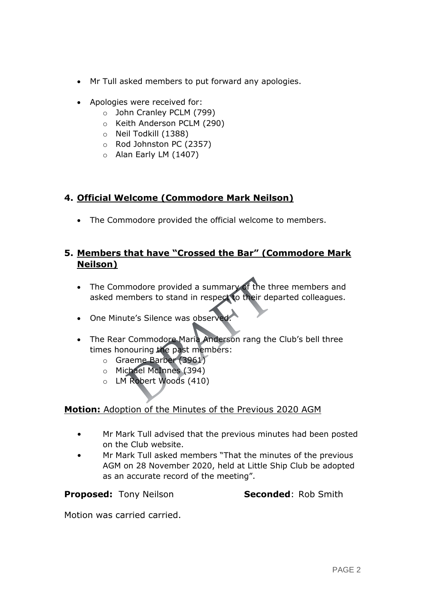- Mr Tull asked members to put forward any apologies.
- Apologies were received for:
	- o John Cranley PCLM (799)
	- o Keith Anderson PCLM (290)
	- o Neil Todkill (1388)
	- o Rod Johnston PC (2357)
	- o Alan Early LM (1407)

## **4. Official Welcome (Commodore Mark Neilson)**

• The Commodore provided the official welcome to members.

# **5. Members that have "Crossed the Bar" (Commodore Mark Neilson)**

- The Commodore provided a summary of the three members and asked members to stand in respect to their departed colleagues.
- One Minute's Silence was observed
- The Rear Commodore Maria Anderson rang the Club's bell three times honouring the past members:
	- o Graeme Barber (3961)
	- o Michael McInnes (394)
	- o LM Robert Woods (410)

## **Motion:** Adoption of the Minutes of the Previous 2020 AGM

- Mr Mark Tull advised that the previous minutes had been posted on the Club website.
- Mr Mark Tull asked members "That the minutes of the previous AGM on 28 November 2020, held at Little Ship Club be adopted as an accurate record of the meeting".

**Proposed:** Tony Neilson **Seconded:** Rob Smith

Motion was carried carried.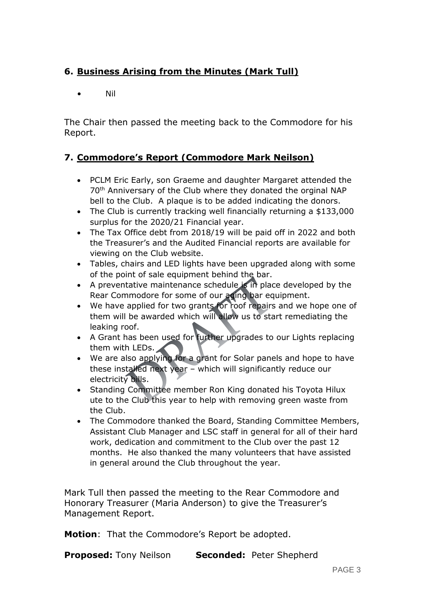# **6. Business Arising from the Minutes (Mark Tull)**

• Nil

The Chair then passed the meeting back to the Commodore for his Report.

# **7. Commodore's Report (Commodore Mark Neilson)**

- PCLM Eric Early, son Graeme and daughter Margaret attended the 70th Anniversary of the Club where they donated the orginal NAP bell to the Club. A plaque is to be added indicating the donors.
- The Club is currently tracking well financially returning a \$133,000 surplus for the 2020/21 Financial year.
- The Tax Office debt from 2018/19 will be paid off in 2022 and both the Treasurer's and the Audited Financial reports are available for viewing on the Club website.
- Tables, chairs and LED lights have been upgraded along with some of the point of sale equipment behind the bar.
- A preventative maintenance schedule is in place developed by the Rear Commodore for some of our aging bar equipment.
- We have applied for two grants for roof repairs and we hope one of them will be awarded which will allow us to start remediating the leaking roof.
- A Grant has been used for further upgrades to our Lights replacing them with LEDs.
- We are also applying for a grant for Solar panels and hope to have these installed next year – which will significantly reduce our electricity bills.
- Standing Committee member Ron King donated his Toyota Hilux ute to the Club this year to help with removing green waste from the Club.
- The Commodore thanked the Board, Standing Committee Members, Assistant Club Manager and LSC staff in general for all of their hard work, dedication and commitment to the Club over the past 12 months. He also thanked the many volunteers that have assisted in general around the Club throughout the year.

Mark Tull then passed the meeting to the Rear Commodore and Honorary Treasurer (Maria Anderson) to give the Treasurer's Management Report.

**Motion**: That the Commodore's Report be adopted.

**Proposed:** Tony Neilson **Seconded:** Peter Shepherd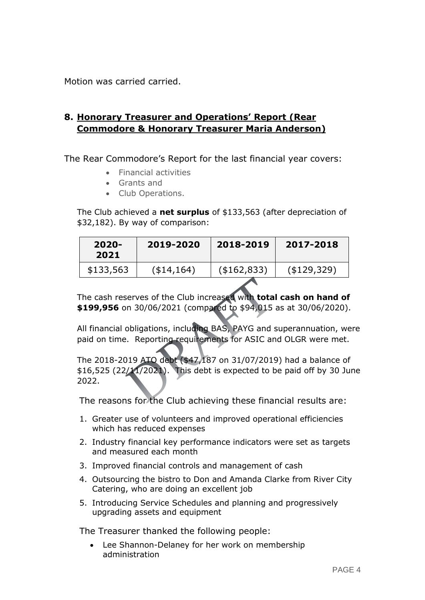Motion was carried carried.

# **8. Honorary Treasurer and Operations' Report (Rear Commodore & Honorary Treasurer Maria Anderson)**

The Rear Commodore's Report for the last financial year covers:

- Financial activities
- Grants and
- Club Operations.

The Club achieved a **net surplus** of \$133,563 (after depreciation of \$32,182). By way of comparison:

| \$133,563 | $(*14,164)$ | $($ \$162,833) | $($ \$129,329) |
|-----------|-------------|----------------|----------------|

The cash reserves of the Club increased with **total cash on hand of \$199,956** on 30/06/2021 (compared to \$94,015 as at 30/06/2020).

All financial obligations, including BAS, PAYG and superannuation, were paid on time. Reporting requirements for ASIC and OLGR were met.

The 2018-2019 ATO debt (\$47,187 on 31/07/2019) had a balance of \$16,525 (22/11/2021). This debt is expected to be paid off by 30 June 2022.

The reasons for the Club achieving these financial results are:

- 1. Greater use of volunteers and improved operational efficiencies which has reduced expenses
- 2. Industry financial key performance indicators were set as targets and measured each month
- 3. Improved financial controls and management of cash
- 4. Outsourcing the bistro to Don and Amanda Clarke from River City Catering, who are doing an excellent job
- 5. Introducing Service Schedules and planning and progressively upgrading assets and equipment

The Treasurer thanked the following people:

 Lee Shannon-Delaney for her work on membership administration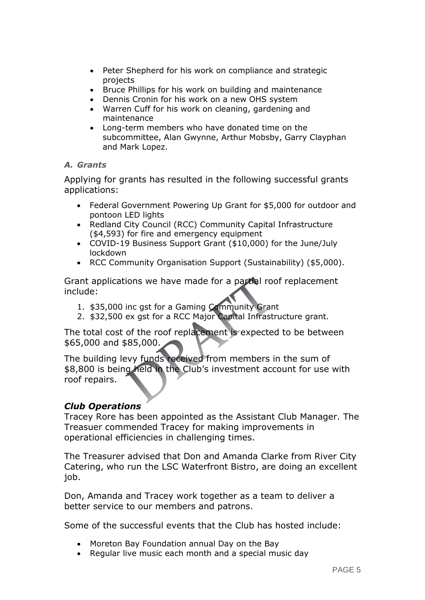- Peter Shepherd for his work on compliance and strategic projects
- Bruce Phillips for his work on building and maintenance
- Dennis Cronin for his work on a new OHS system
- Warren Cuff for his work on cleaning, gardening and maintenance
- Long-term members who have donated time on the subcommittee, Alan Gwynne, Arthur Mobsby, Garry Clayphan and Mark Lopez.

#### *A. Grants*

Applying for grants has resulted in the following successful grants applications:

- Federal Government Powering Up Grant for \$5,000 for outdoor and pontoon LED lights
- Redland City Council (RCC) Community Capital Infrastructure (\$4,593) for fire and emergency equipment
- COVID-19 Business Support Grant (\$10,000) for the June/July lockdown
- RCC Community Organisation Support (Sustainability) (\$5,000).

Grant applications we have made for a partial roof replacement include:

- 1. \$35,000 inc gst for a Gaming Community Grant
- 2. \$32,500 ex gst for a RCC Major Capital Infrastructure grant.

The total cost of the roof replacement is expected to be between \$65,000 and \$85,000.

The building levy funds received from members in the sum of \$8,800 is being held in the Club's investment account for use with roof repairs.

## *Club Operations*

Tracey Rore has been appointed as the Assistant Club Manager. The Treasuer commended Tracey for making improvements in operational efficiencies in challenging times.

The Treasurer advised that Don and Amanda Clarke from River City Catering, who run the LSC Waterfront Bistro, are doing an excellent job.

Don, Amanda and Tracey work together as a team to deliver a better service to our members and patrons.

Some of the successful events that the Club has hosted include:

- Moreton Bay Foundation annual Day on the Bay
- Regular live music each month and a special music day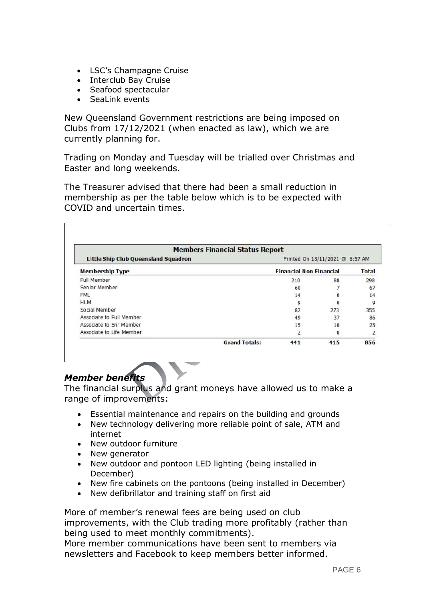- LSC's Champagne Cruise
- Interclub Bay Cruise
- Seafood spectacular
- SeaLink events

New Queensland Government restrictions are being imposed on Clubs from 17/12/2021 (when enacted as law), which we are currently planning for.

Trading on Monday and Tuesday will be trialled over Christmas and Easter and long weekends.

The Treasurer advised that there had been a small reduction in membership as per the table below which is to be expected with COVID and uncertain times.

| <b>Members Financial Status Report</b>      |                                |                                 |     |                |  |  |  |  |
|---------------------------------------------|--------------------------------|---------------------------------|-----|----------------|--|--|--|--|
| <b>Little Ship Club Queensland Squadron</b> |                                | Printed On 18/11/2021 @ 6:57 AM |     |                |  |  |  |  |
| <b>Membership Type</b>                      | <b>Financial Non Financial</b> |                                 |     | <b>Total</b>   |  |  |  |  |
| Full Member                                 |                                | 210                             | 88  | 298            |  |  |  |  |
| Senior Member                               |                                | 60                              |     | 67             |  |  |  |  |
| <b>FML</b>                                  |                                | 14                              |     | 14             |  |  |  |  |
| <b>HLM</b>                                  |                                | 9                               |     | 9              |  |  |  |  |
| Social Member                               |                                | 82                              | 273 | 355            |  |  |  |  |
| Associate to Full Member                    |                                | 49                              | 37  | 86             |  |  |  |  |
| Associate to Snr Member                     |                                | 15                              | 10  | 25             |  |  |  |  |
| Associate to Life Member                    |                                | $\overline{2}$                  |     | $\overline{2}$ |  |  |  |  |
|                                             | <b>Grand Totals:</b>           | 441                             | 415 | 856            |  |  |  |  |

# *Member benefits*

The financial surplus and grant moneys have allowed us to make a range of improvements:

- Essential maintenance and repairs on the building and grounds
- New technology delivering more reliable point of sale, ATM and internet
- New outdoor furniture
- New generator
- New outdoor and pontoon LED lighting (being installed in December)
- New fire cabinets on the pontoons (being installed in December)
- New defibrillator and training staff on first aid

More of member's renewal fees are being used on club improvements, with the Club trading more profitably (rather than being used to meet monthly commitments).

More member communications have been sent to members via newsletters and Facebook to keep members better informed.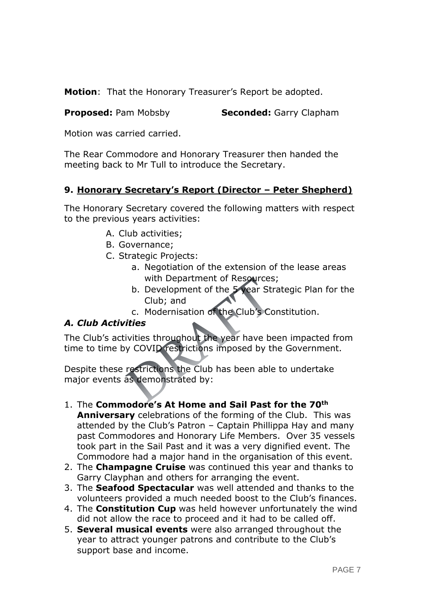**Motion**: That the Honorary Treasurer's Report be adopted.

**Proposed:** Pam Mobsby **Seconded:** Garry Clapham

Motion was carried carried.

The Rear Commodore and Honorary Treasurer then handed the meeting back to Mr Tull to introduce the Secretary.

# **9. Honorary Secretary's Report (Director – Peter Shepherd)**

The Honorary Secretary covered the following matters with respect to the previous years activities:

- A. Club activities;
- B. Governance;
- C. Strategic Projects:
	- a. Negotiation of the extension of the lease areas with Department of Resources;
	- b. Development of the 5 year Strategic Plan for the Club; and
	- c. Modernisation of the Club's Constitution.

## *A. Club Activities*

The Club's activities throughout the year have been impacted from time to time by COVID restrictions imposed by the Government.

Despite these restrictions the Club has been able to undertake major events as demonstrated by:

- 1. The **Commodore's At Home and Sail Past for the 70th Anniversary** celebrations of the forming of the Club. This was attended by the Club's Patron – Captain Phillippa Hay and many past Commodores and Honorary Life Members. Over 35 vessels took part in the Sail Past and it was a very dignified event. The Commodore had a major hand in the organisation of this event.
- 2. The **Champagne Cruise** was continued this year and thanks to Garry Clayphan and others for arranging the event.
- 3. The **Seafood Spectacular** was well attended and thanks to the volunteers provided a much needed boost to the Club's finances.
- 4. The **Constitution Cup** was held however unfortunately the wind did not allow the race to proceed and it had to be called off.
- 5. **Several musical events** were also arranged throughout the year to attract younger patrons and contribute to the Club's support base and income.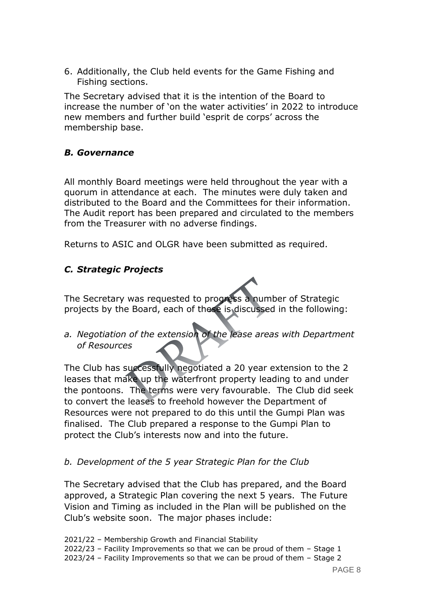6. Additionally, the Club held events for the Game Fishing and Fishing sections.

The Secretary advised that it is the intention of the Board to increase the number of 'on the water activities' in 2022 to introduce new members and further build 'esprit de corps' across the membership base.

#### *B. Governance*

All monthly Board meetings were held throughout the year with a quorum in attendance at each. The minutes were duly taken and distributed to the Board and the Committees for their information. The Audit report has been prepared and circulated to the members from the Treasurer with no adverse findings.

Returns to ASIC and OLGR have been submitted as required.

## *C. Strategic Projects*

The Secretary was requested to progress a number of Strategic projects by the Board, each of these is discussed in the following:

*a. Negotiation of the extension of the lease areas with Department of Resources*

The Club has successfully negotiated a 20 year extension to the 2 leases that make up the waterfront property leading to and under the pontoons. The terms were very favourable. The Club did seek to convert the leases to freehold however the Department of Resources were not prepared to do this until the Gumpi Plan was finalised. The Club prepared a response to the Gumpi Plan to protect the Club's interests now and into the future.

#### *b. Development of the 5 year Strategic Plan for the Club*

The Secretary advised that the Club has prepared, and the Board approved, a Strategic Plan covering the next 5 years. The Future Vision and Timing as included in the Plan will be published on the Club's website soon. The major phases include:

2021/22 – Membership Growth and Financial Stability 2022/23 – Facility Improvements so that we can be proud of them – Stage 1 2023/24 – Facility Improvements so that we can be proud of them – Stage 2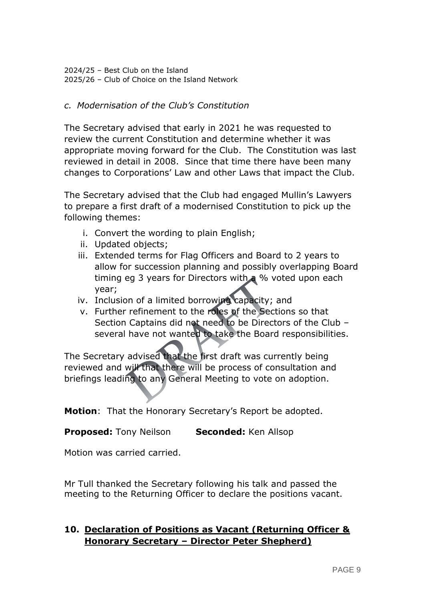2024/25 – Best Club on the Island 2025/26 – Club of Choice on the Island Network

#### *c. Modernisation of the Club's Constitution*

The Secretary advised that early in 2021 he was requested to review the current Constitution and determine whether it was appropriate moving forward for the Club. The Constitution was last reviewed in detail in 2008. Since that time there have been many changes to Corporations' Law and other Laws that impact the Club.

The Secretary advised that the Club had engaged Mullin's Lawyers to prepare a first draft of a modernised Constitution to pick up the following themes:

- i. Convert the wording to plain English;
- ii. Updated objects;
- iii. Extended terms for Flag Officers and Board to 2 years to allow for succession planning and possibly overlapping Board timing eg 3 years for Directors with a % voted upon each year;
- iv. Inclusion of a limited borrowing capacity; and
- v. Further refinement to the roles of the Sections so that Section Captains did not need to be Directors of the Club – several have not wanted to take the Board responsibilities.

The Secretary advised that the first draft was currently being reviewed and will that there will be process of consultation and briefings leading to any General Meeting to vote on adoption.

**Motion**: That the Honorary Secretary's Report be adopted.

**Proposed:** Tony Neilson **Seconded:** Ken Allsop

Motion was carried carried.

Mr Tull thanked the Secretary following his talk and passed the meeting to the Returning Officer to declare the positions vacant.

## **10. Declaration of Positions as Vacant (Returning Officer & Honorary Secretary – Director Peter Shepherd)**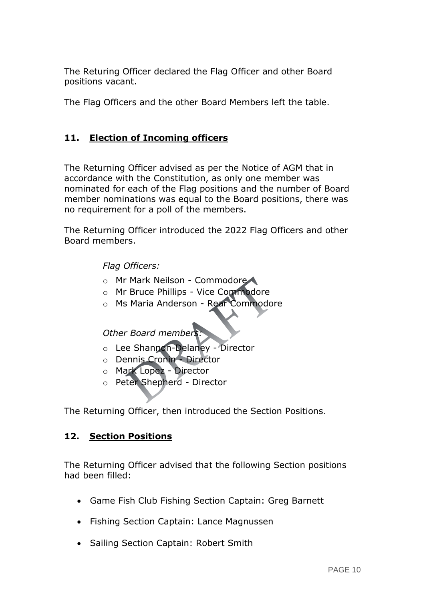The Returing Officer declared the Flag Officer and other Board positions vacant.

The Flag Officers and the other Board Members left the table.

# **11. Election of Incoming officers**

The Returning Officer advised as per the Notice of AGM that in accordance with the Constitution, as only one member was nominated for each of the Flag positions and the number of Board member nominations was equal to the Board positions, there was no requirement for a poll of the members.

The Returning Officer introduced the 2022 Flag Officers and other Board members.

#### *Flag Officers:*

- o Mr Mark Neilson Commodore
- o Mr Bruce Phillips Vice Commodore
- o Ms Maria Anderson Rear Commodore

*Other Board members:*

- o Lee Shannon-Delaney Director
- o Dennis Cronin Director
- o Mark Lopez Director
- o Peter Shepherd Director

The Returning Officer, then introduced the Section Positions.

## **12. Section Positions**

The Returning Officer advised that the following Section positions had been filled:

- Game Fish Club Fishing Section Captain: Greg Barnett
- Fishing Section Captain: Lance Magnussen
- Sailing Section Captain: Robert Smith